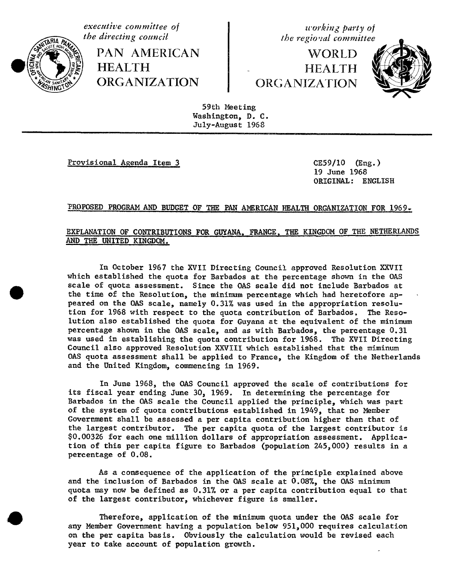

the directing council PAN AMERICAN **HEALTH ORGANIZATION** 

working party of the regioral committee

WORLD **HEALTH ORGANIZATION** 



59th Meeting Washington, D. C. July-August 1968

Provisional Agenda Item 3

 $CE59/10$  (Eng.) 19 June 1968 ORIGINAL: ENGLISH

## PROPOSED PROGRAM AND BUDGET OF THE PAN AMERICAN HEALTH ORGANIZATION FOR 1969.

## EXPLANATION OF CONTRIBUTIONS FOR GUYANA, FRANCE, THE KINGDOM OF THE NETHERLANDS AND THE UNITED KINGDOM.

In October 1967 the XVII Directing Council approved Resolution XXVII which established the quota for Barbados at the percentage shown in the OAS scale of quota assessment. Since the OAS scale did not include Barbados at the time of the Resolution, the minimum percentage which had heretofore appeared on the OAS scale, namely 0.31% was used in the appropriation resolution for 1968 with respect to the quota contribution of Barbados. The Resolution also established the quota for Guyana at the equivalent of the minimum percentage shown in the OAS scale, and as with Barbados, the percentage 0.31 was used in establishing the quota contribution for 1968. The XVII Directing Council also approved Resolution XXVIII which established that the miminum OAS quota assessment shall be applied to France, the Kingdom of the Netherlands and the United Kingdom, commencing in 1969.

In June 1968, the OAS Council approved the scale of contributions for its fiscal year ending June 30, 1969. In determining the percentage for Barbados in the OAS scale the Council applied the principle, which was part of the system of quota contributions established in 1949, that no Member Government shall be assessed a per capita contribution higher than that of the largest contributor. The per capita quota of the largest contributor is \$0.00326 for each one million dollars of appropriation assessment. Application of this per capita figure to Barbados (population 245,000) results in a percentage of 0.08.

As a consequence of the application of the principle explained above and the inclusion of Barbados in the OAS scale at 0.08%, the OAS minimum quota may now be defined as 0.31% or a per capita contribution equal to that of the largest contributor, whichever figure is smaller.

Therefore, application of the minimum quota under the OAS scale for any Member Government having a population below 951,000 requires calculation on the per capita basis. Obviously the calculation would be revised each year to take account of population growth.